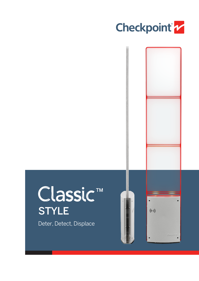



## Classic<sup>™</sup> **STYLE**

Deter, Detect, Displace